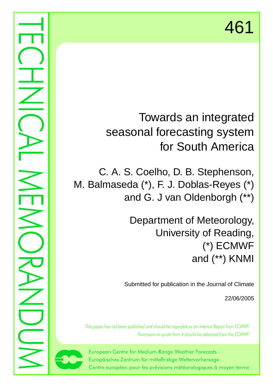# Towards an integrated seasonal forecasting system for South America

C. A. S. Coelho, D. B. Stephenson, M. Balmaseda (\*), F. J. Doblas-Reyes (\*) and G. J van Oldenborgh (\*\*)

> Department of Meteorology, University of Reading, (\*) ECMWF and (\*\*) KNMI

Submitted for publication in the Journal of Climate

22/06/2005

This paper has not been published and should be regarded as an Internal Report from ECMWF. Permission to quote from it should be obtained from the ECMWF.



European Centre for Medium-Range Weather Forecasts Europäisches Zentrum für mittelfristige Wettervorhersage Centre européen pour les prévisions météorologiques à moyen terme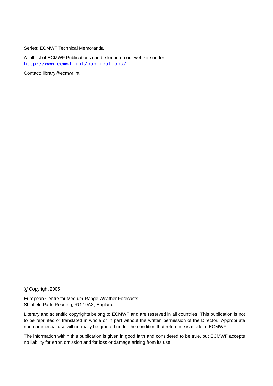Series: ECMWF Technical Memoranda

A full list of ECMWF Publications can be found on our web site under: <http://www.ecmwf.int/publications/>

Contact: library@ecmwf.int

#### c Copyright 2005

European Centre for Medium-Range Weather Forecasts Shinfield Park, Reading, RG2 9AX, England

Literary and scientific copyrights belong to ECMWF and are reserved in all countries. This publication is not to be reprinted or translated in whole or in part without the written permission of the Director. Appropriate non-commercial use will normally be granted under the condition that reference is made to ECMWF.

The information within this publication is given in good faith and considered to be true, but ECMWF accepts no liability for error, omission and for loss or damage arising from its use.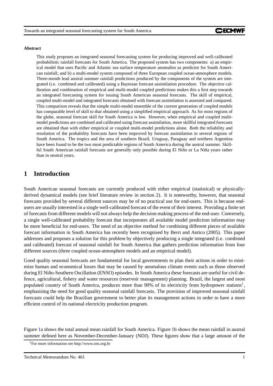#### **Abstract**

This study proposes an integrated seasonal forecasting system for producing improved and well-calibrated probabilistic rainfall forecasts for South America. The proposed system has two components: a) an empirical model that uses Pacific and Atlantic sea surface temperature anomalies as predictor for South American rainfall; and b) a multi-model system composed of three European coupled ocean-atmosphere models. Three-month lead austral summer rainfall predictions produced by the components of the system are integrated (i.e. combined and calibrated) using a Bayesian forecast assimilation procedure. The objective calibration and combination of empirical and multi-model coupled predictions makes this a first step towards an integrated forecasting system for issuing South American seasonal forecasts. The skill of empirical, coupled multi-model and integrated forecasts obtained with forecast assimilation is assessed and compared. This comparison reveals that the simple multi-model ensemble of the current generation of coupled models has comparable level of skill to that obtained using a simplified empirical approach. As for most regions of the globe, seasonal forecast skill for South America is low. However, when empirical and coupled multimodel predictions are combined and calibrated using forecast assimilation, more skillful integrated forecasts are obtained than with either empirical or coupled multi-model predictions alone. Both the reliability and resolution of the probability forecasts have been improved by forecast assimilation in several regions of South America. The tropics and the area of southern Brazil, Uruguay, Paraguay and northern Argentina have been found to be the two most predictable regions of South America during the austral summer. Skillful South American rainfall forecasts are generally only possible during El Niño or La Niña years rather than in neutral years.

## **1 Introduction**

South American seasonal forecasts are currently produced with either empirical (statistical) or physicallyderived dynamical models (see brief literature review in section 2). It is noteworthy, however, that seasonal forecasts provided by several different sources may be of no practical use for end-users. This is because endusers are usually interested in a single well-calibrated forecast of the event of their interest. Providing a finite set of forecasts from different models will not always help the decision making process of the end-user. Conversely, a single well-calibrated probability forecast that incorporates all available model prediction information may be more beneficial for end-users. The need of an objective method for combining different pieces of available forecast information in South America has recently been recognised by Berri and Antico (2005). This paper addresses and proposes a solution for this problem by objectively producing a single integrated (i.e. combined and calibrated) forecast of seasonal rainfall for South America that gathers prediction information from four different sources (three coupled ocean-atmosphere models and an empirical model).

Good quality seasonal forecasts are fundamental for local governments to plan their actions in order to minimize human and economical losses that may be caused by anomalous climate events such as those observed during El Niño-Southern Oscillation (ENSO) episodes. In South America these forecasts are useful for civil defence, agricultural, fishery and water resources (reservoir management) planning. Brazil, the largest and most populated country of South America, produces more than 90% of its electricity from hydropower stations<sup>[1](#page-2-0)</sup>, emphasising the need for good quality seasonal rainfall forecasts. The provision of improved seasonal rainfall forecasts could help the Brazilian government to better plan its management actions in order to have a more efficient control of its national electricity production program.

<span id="page-2-0"></span>Figure [1a](#page-3-0) shows the total annual mean rainfall for South America. Figure [1b](#page-3-0) shows the mean rainfall in austral summer defined here as November-December-January (NDJ). These figures show that a large amount of the

<sup>1</sup>For more information see http://www.ons.org.br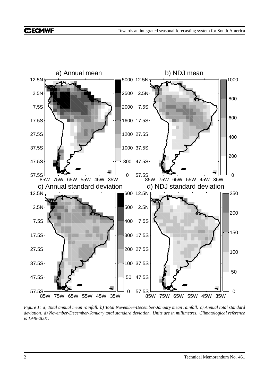

<span id="page-3-0"></span>Figure 1: a) Total annual mean rainfall. b) Total November-December-January mean rainfall. c) Annual total standard *deviation. d) November-December-January total standard deviation. Units are in millimetres. Climatological reference is 1948-2001.*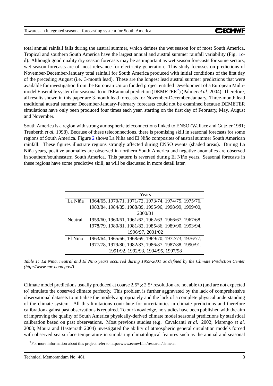total annual rainfall falls during the austral summer, which defines the wet season for of most South America. Tropical and southern South America have the largest annual and austral summer rainfall variability (Fig. [1c](#page-3-0)d). Although good quality dry season forecasts may be as important as wet season forecasts for some sectors, wet season forecasts are of most relevance for electricity generation. This study focusses on predictions of November-December-January total rainfall for South America produced with initial conditions of the first day of the preceding August (i.e. 3-month lead). These are the longest lead austral summer predictions that were available for investigation from the European Union funded project entitled Development of a European Multi-model Ensemble system for seasonal to inTERannual prediction (DEMETER<sup>[2](#page-4-0)</sup>) (Palmer *et al.* 2004). Therefore, all results shown in this paper are 3-month lead forecasts for November-December-January. Three-month lead traditional austral summer December-January-February forecasts could not be examined because DEMETER simulations have only been produced four times each year, starting on the first day of February, May, August and November.

South America is a region with strong atmospheric teleconnections linked to ENSO (Wallace and Gutzler 1981; Trenberth *et al.* 1998). Because of these teleconnections, there is promising skill in seasonal forecasts for some regions of South America. Figure [2](#page-5-0) shows La Niña and El Niño composites of austral summer South American rainfall. These figures illustrate regions strongly affected during ENSO events (shaded areas). During La Niña years, positive anomalies are observed in northern South America and negative anomalies are observed in southern/southeastern South America. This pattern is reversed during El Niño years. Seasonal forecasts in these regions have some predictive skill, as will be discussed in more detail later.

|         | Years                                                 |  |  |
|---------|-------------------------------------------------------|--|--|
| La Niña | 1964/65, 1970/71, 1971/72, 1973/74, 1974/75, 1975/76, |  |  |
|         | 1983/84, 1984/85, 1988/89, 1995/96, 1998/99, 1999/00, |  |  |
|         | 2000/01                                               |  |  |
| Neutral | 1959/60, 1960/61, 1961/62, 1962/63, 1966/67, 1967/68, |  |  |
|         | 1978/79, 1980/81, 1981/82, 1985/86, 1989/90, 1993/94, |  |  |
|         | 1996/97, 2001/02                                      |  |  |
| El Niño | 1963/64, 1965/66, 1968/69, 1969/70, 1972/73, 1976/77, |  |  |
|         | 1977/78, 1979/80, 1982/83, 1986/87, 1987/88, 1990/91, |  |  |
|         | 1991/92, 1992/93, 1994/95, 1997/98                    |  |  |

Table 1: La Niña, neutral and El Niño years occurred during 1959-2001 as defined by the Climate Prediction Center *(http://www.cpc.noaa.gov/).*

Climate model predictions usually produced at coarse  $2.5^\circ \times 2.5^\circ$  resolution are not able to (and are not expected to) simulate the observed climate perfectly. This problem is further aggravated by the lack of comprehensive observational datasets to initialise the models appropriately and the lack of a complete physical understanding of the climate system. All this limitations contribute for uncertainties in climate predictions and therefore calibration against past observations is required. To our knowledge, no studies have been published with the aim of improving the quality of South America physically-derived climate model seasonal predictions by statistical calibration based on past observations. Most previous studies (e.g. Cavalcanti *et al.* 2002; Marengo *et al.* 2003; Moura and Hastenrath 2004) investigated the ability of atmospheric general circulation models forced with observed sea surface temperature in simulating climatological features such as the annual and seasonal

<span id="page-4-0"></span> ${}^{2}$ For more information about this project refer to http://www.ecmwf.int/research/demeter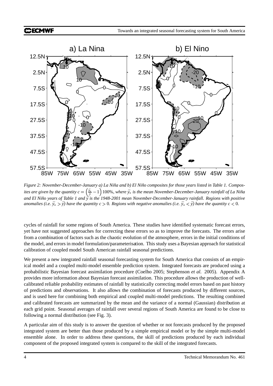## **CHECMWF**



<span id="page-5-0"></span>Figure 2: November-December-January a) La Niña and b) El Niño composites for those years listed in Table 1. Composites are given by the quantity  $c=\left(\frac{\bar{y}_*}{\bar{y}}-1\right)$  100%, where  $\bar{y}_*$  is the mean November-December-January rainfall of La Niña and El Niño years of Table 1 and  $\overline{y}$  is the 1948-2001 mean November-December-January rainfall. Regions with positive anomalies (i.e.  $\bar{y}_* > \bar{y}$ ) have the quantity  $c > 0$ . Regions with negative anomalies (i.e.  $\bar{y}_* < \bar{y}$ ) have the quantity  $c < 0$ .

cycles of rainfall for some regions of South America. These studies have identified systematic forecast errors, yet have not suggested approaches for correcting these errors so as to improve the forecasts. The errors arise from a combination of factors such as the chaotic evolution of the atmosphere, errors in the initial conditions of the model, and errors in model formulation/parameterisation. This study uses a Bayesian approach for statistical calibration of coupled model South American rainfall seasonal predictions.

We present a new integrated rainfall seasonal forecasting system for South America that consists of an empirical model and a coupled multi-model ensemble prediction system. Integrated forecasts are produced using a probabilistic Bayesian forecast assimilation procedure (Coelho 2005; Stephenson *et al.* 2005). Appendix A provides more information about Bayesian forecast assimilation. This procedure allows the production of wellcalibrated reliable probability estimates of rainfall by statistically correcting model errors based on past history of predictions and observations. It also allows the combination of forecasts produced by different sources, and is used here for combining both empirical and coupled multi-model predictions. The resulting combined and calibrated forecasts are summarized by the mean and the variance of a normal (Gaussian) distribution at each grid point. Seasonal averages of rainfall over several regions of South America are found to be close to following a normal distribution (see Fig. 3).

A particular aim of this study is to answer the question of whether or not forecasts produced by the proposed integrated system are better than those produced by a simple empirical model or by the simple multi-model ensemble alone. In order to address these questions, the skill of predictions produced by each individual component of the proposed integrated system is compared to the skill of the integrated forecasts.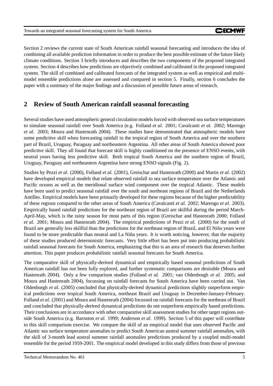Section 2 reviews the current state of South American rainfall seasonal forecasting and introduces the idea of combining all available prediction information in order to produce the best possible estimate of the future likely climate conditions. Section 3 briefly introduces and describes the two components of the proposed integrated system. Section 4 describes how predictions are objectively combined and calibrated in the proposed integrated system. The skill of combined and calibrated forecasts of the integrated system as well as empirical and multimodel ensemble predictions alone are assessed and compared in section 5. Finally, section 6 concludes the paper with a summary of the major findings and a discussion of possible future areas of research.

## **2 Review of South American rainfall seasonal forecasting**

Several studies have used atmospheric general circulation models forced with observed sea surface temperatures to simulate seasonal rainfall over South America (e.g. Folland *et al.* 2001; Cavalcanti *et al.* 2002; Marengo *et al.* 2003; Moura and Hastenrath 2004). These studies have demonstrated that atmospheric models have some predictive skill when forecasting rainfall in the tropical region of South America and over the southern part of Brazil, Uruguay, Paraguay and northeastern Argentina. All other areas of South America showed poor predictive skill. They all found that forecast skill is highly conditioned on the presence of ENSO events, with neutral years having less predictive skill. Both tropical South America and the southern region of Brazil, Uruguay, Paraguay and northeastern Argentina have strong ENSO signals (Fig. 2).

Studies by Pezzi *et al.* (2000), Folland *et al.* (2001), Greischar and Hastenrath (2000) and Martis *et al.* (2002) have developed empirical models that relate observed rainfall to sea surface temperature over the Atlantic and Pacific oceans as well as the meridional surface wind component over the tropical Atlantic. These models have been used to predict seasonal rainfall over the south and northeast regions of Brazil and the Netherlands Antilles. Empirical models have been primarily developed for these regions because of the higher predictability of these regions compared to the other areas of South America (Cavalcanti *et al.* 2002; Marengo *et al.* 2003). Empirically based rainfall predictions for the northeast region of Brazil are skillful during the period March-April-May, which is the rainy season for most parts of this region (Greischar and Hastenrath 2000; Folland *et al.* 2001; Moura and Hastenrath 2004). The empirical predictions of Pezzi *et al.* (2000) for the south of Brazil are generally less skillful than the predictions for the northeast region of Brazil, and El Niño years were found to be more predictable than neutral and La Niña years. It is worth noticing, however, that the majority of these studies produced deterministic forecasts. Very little effort has been put into producing probabilistic rainfall seasonal forecasts for South America, emphasizing that this is an area of research that deserves further attention. This paper produces probabilistic rainfall seasonal forecasts for South America.

The comparative skill of physically-derived dynamical and empirically based seasonal predictions of South American rainfall has not been fully explored, and further systematic comparisons are desirable (Moura and Hastenrath 2004). Only a few comparison studies (Folland *et al.* 2001; van Oldenborgh *et al.* 2005; and Moura and Hastenrath 2004), focussing on rainfall forecasts for South America have been carried out. Van Oldenborgh *et al.* (2005) concluded that physically-derived dynamical predictions slightly outperform empirical predictions over tropical South America, northeast Brazil and Uruguay in December-January-February. Folland *et al.* (2001) and Moura and Hastenrath (2004) focussed on rainfall forecasts for the northeast of Brazil and concluded that physically-derived dynamical predictions do not outperform empirically based predictions. Their conclusions are in accordance with other comparative skill assessment studies for other target regions outside South America (e.g. Barnston *et al.* 1999; Anderson *et al.* 1999). Section 5 of this paper will contribute to this skill comparison exercise. We compare the skill of an empirical model that uses observed Pacific and Atlantic sea surface temperature anomalies to predict South American austral summer rainfall anomalies, with the skill of 3-month lead austral summer rainfall anomalies predictions produced by a coupled multi-model ensemble for the period 1959-2001. The empirical model developed in this study differs from those of previous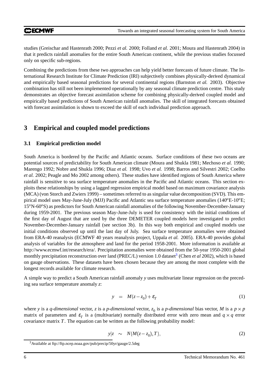studies (Greischar and Hastenrath 2000; Pezzi *et al.* 2000; Folland *et al.* 2001; Moura and Hastenrath 2004) in that it predicts rainfall anomalies for the entire South American continent, while the previous studies focussed only on specific sub-regions.

Combining the predictions from these two approaches can help yield better forecasts of future climate. The International Research Institute for Climate Prediction (IRI) subjectively combines physically-derived dynamical and empirically based seasonal predictions for several continental regions (Barnston *et al.* 2003). Objective combination has still not been implemented operationally by any seasonal climate prediction centre. This study demonstrates an objective forecast assimilation scheme for combining physically-derived coupled model and empirically based predictions of South American rainfall anomalies. The skill of integrated forecasts obtained with forecast assimilation is shown to exceed the skill of each individual prediction approach.

## **3 Empirical and coupled model predictions**

## **3.1 Empirical prediction model**

South America is bordered by the Pacific and Atlantic oceans. Surface conditions of these two oceans are potential sources of predictability for South American climate (Moura and Shukla 1981; Mechoso *et al.* 1990; Marengo 1992; Nobre and Shukla 1996; Diaz *et al.* 1998; Uvo *et al.* 1998; Barros and Silvestri 2002; Coelho *et al.* 2002; Peagle and Mo 2002 among others). These studies have identified regions of South America where rainfall is sensitive to sea surface temperature anomalies in the Pacific and Atlantic oceans. This section exploits these relationships by using a lagged regression empirical model based on maximum covariance analysis (MCA) (von Storch and Zwiers 1999) – sometimes referred to as singular value decomposition (SVD). This empirical model uses May-June-July (MJJ) Pacific and Atlantic sea surface temperature anomalies (140*o*E-10*o*E; 15*o*N-60*o*S) as predictors for South American rainfall anomalies of the following November-December-January during 1959-2001. The previous season May-June-July is used for consistency with the initial conditions of the first day of August that are used by the three DEMETER coupled models here investigated to predict November-December-January rainfall (see section 3b). In this way both empirical and coupled models use initial conditions observed up until the last day of July. Sea surface temperature anomalies were obtained from ERA-40 reanalysis (ECMWF 40 years reanalysis project, Uppala *et al.* 2005). ERA-40 provides global analysis of variables for the atmosphere and land for the period 1958-2001. More information is available at http://www.ecmwf.int/research/era/. Precipitation anomalies were obtained from the 50-year 1950-2001 global monthly precipitation reconstruction over land (PREC/L) version 1.0 dataset<sup>[3](#page-7-0)</sup> (Chen *et al* 2002), which is based on gauge observations. These datasets have been chosen because they are among the most complete with the longest records available for climate research.

A simple way to predict a South American rainfall anomaly *y* uses multivariate linear regression on the preceding sea surface temperature anomaly *z*:

$$
y = M(z - z_0) + \varepsilon_T \tag{1}
$$

where *y* is a *q*-dimensional vector, *z* is a *p*-dimensional vector,  $z_0$  is a *p*-dimensional bias vector, *M* is a  $p \times p$ matrix of parameters and  $\varepsilon_T$  is a (multivariate) normally distributed error with zero mean and  $q \times q$  error covariance matrix *T*. The equation can be written as the following probability model:

$$
y|z \sim N(M(z-z_0),T), \qquad (2)
$$

<span id="page-7-0"></span><sup>3</sup>Available at ftp://ftp.ncep.noaa.gov/pub/precip/50yr/gauge/2.5deg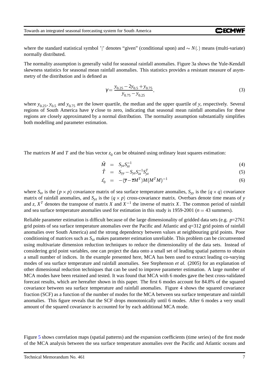where the standard statistical symbol '|' denotes "given" (conditional upon) and  $\sim N(.)$  means (multi-variate) normally distributed.

The normality assumption is generally valid for seasonal rainfall anomalies. Figure 3a shows the Yule-Kendall skewness statistics for seasonal mean rainfall anomalies. This statistics provides a resistant measure of asymmetry of the distribution and is defined as

$$
\gamma = \frac{y_{0.25} - 2y_{0.5} + y_{0.75}}{y_{0.75} - y_{0.25}},
$$
\n(3)

where  $y_{0.25}$ ,  $y_{0.5}$  and  $y_{0.75}$  are the lower quartile, the median and the upper quartile of *y*, respectively. Several regions of South America have γ close to zero, indicating that seasonal mean rainfall anomalies for these regions are closely approximated by a normal distribution. The normality assumption substantially simplifies both modelling and parameter estimation.

The matrices  $M$  and  $T$  and the bias vector  $z_0$  can be obtained using ordinary least squares estimation:

$$
\hat{M} = S_{yz} S_{zz}^{-1} \tag{4}
$$

$$
\hat{T} = S_{yy} - S_{yz} S_{zz}^{-1} S_{yz}^T \tag{5}
$$

$$
\hat{z}_0 = -(\overline{\mathbf{y}} - \overline{\mathbf{z}}M^T)M(M^TM)^{-1} \tag{6}
$$

where  $S_{zz}$  is the  $(p \times p)$  covariance matrix of sea surface temperature anomalies,  $S_{yy}$  is the  $(q \times q)$  covariance matrix of rainfall anomalies, and  $S_{yz}$  is the  $(q \times p)$  cross-covariance matrix. Overbars denote time means of *y* and *z*,  $X<sup>T</sup>$  denotes the transpose of matrix *X* and  $X<sup>-1</sup>$  the inverse of matrix *X*. The common period of rainfall and sea surface temperature anomalies used for estimation in this study is 1959-2001 ( $n = 43$  summers).

Reliable parameter estimation is difficult because of the large dimensionality of gridded data sets (e.g. *p*=2761 grid points of sea surface temperature anomalies over the Pacific and Atlantic and *q*=312 grid points of rainfall anomalies over South America) and the strong dependency between values at neighbouring grid points. Poor conditioning of matrices such as *Szz* makes parameter estimation unreliable. This problem can be circumvented using multivariate dimension reduction techniques to reduce the dimensionality of the data sets. Instead of considering grid point variables, one can project the data onto a small set of leading spatial patterns to obtain a small number of indices. In the example presented here, MCA has been used to extract leading co-varying modes of sea surface temperature and rainfall anomalies. See Stephenson *et al.* (2005) for an explanation of other dimensional reduction techniques that can be used to improve parameter estimation. A large number of MCA modes have been retained and tested. It was found that MCA with 6 modes gave the best cross-validated forecast results, which are hereafter shown in this paper. The first 6 modes account for 84.8% of the squared covariance between sea surface temperature and rainfall anomalies. Figure 4 shows the squared covariance fraction (SCF) as a function of the number of modes for the MCA between sea surface temperature and rainfall anomalies. This figure reveals that the SCF drops monotonically until 6 modes. After 6 modes a very small amount of the squared covariance is accounted for by each additional MCA mode.

Figure [5](#page-11-0) shows correlation maps (spatial patterns) and the expansion coefficients (time series) of the first mode of the MCA analysis between the sea surface temperature anomalies over the Pacific and Atlantic oceans and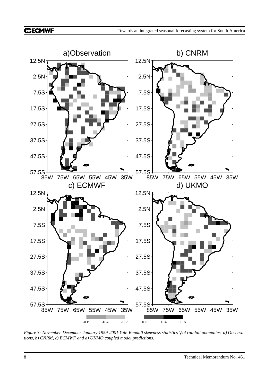

*Figure 3: November-December-January 1959-2001 Yule-Kendall skewness statistics* γ *of rainfall anomalies. a) Observations, b) CNRM, c) ECMWF and d) UKMO coupled model predictions.*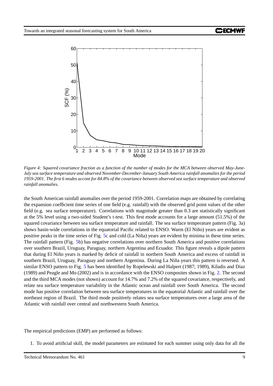

Figure 4: Squared covariance fraction as a function of the number of modes for the MCA between observed May-June-*July sea surface temperature and observed November-December-January South America rainfall anomalies for the period* 1959-2001. The first 6 modes accont for 84.8% of the covariance between observed sea surface temperature and observed *rainfall anomalies.*

the South American rainfall anomalies over the period 1959-2001. Correlation maps are obtained by correlating the expansion coefficient time series of one field (e.g. rainfall) with the observed grid point values of the other field (e.g. sea surface temperature). Correlations with magnitude greater than 0.3 are statistically significant at the 5% level using a two-sided Student's t-test. This first mode accounts for a large amount (51.5%) of the squared covariance between sea surface temperature and rainfall. The sea surface temperature pattern (Fig. 3a) shows basin-wide correlations in the equatorial Pacific related to ENSO. Warm (El Niño) years are evident as positive peaks in the time series of Fig. [5c](#page-11-0) and cold (La Niña) years are evident by minima in these time series. The rainfall pattern (Fig. [5b](#page-11-0)) has negative correlations over northern South America and positive correlations over southern Brazil, Uruguay, Paraguay, northern Argentina and Ecuador. This figure reveals a dipole pattern that during El Niño years is marked by deficit of rainfall in northern South America and excess of rainfall in southern Brazil, Uruguay, Paraguay and northern Argentina. During La Niña years this pattern is reversed. A similar ENSO pattern to Fig. [5](#page-11-0) has been identified by Ropelewski and Halpert (1987; 1989), Kiladis and Diaz (1989) and Peagle and Mo (2002) and is in accordance with the ENSO composites shown in Fig. [2.](#page-5-0) The second and the third MCA modes (not shown) account for 14.7% and 7.2% of the squared covariance, respectively, and relate sea surface temperature variability in the Atlantic ocean and rainfall over South America. The second mode has positive correlation between sea surface temperatures in the equatorial Atlantic and rainfall over the northeast region of Brazil. The third mode positively relates sea surface temperatures over a large area of the Atlantic with rainfall over central and northwestern South America.

The empirical predictions (EMP) are performed as follows:

1. To avoid artificial skill, the model parameters are estimated for each summer using only data for all the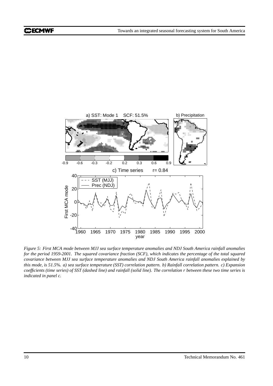

<span id="page-11-0"></span>Figure 5: First MCA mode between MJJ sea surface temperature anomalies and NDJ South America rainfall anomalies for the period 1959-2001. The squared covariance fraction (SCF), which indicates the percentage of the total squared *covariance between MJJ sea surface temperature anomalies and NDJ South America rainfall anomalies explained by* this mode, is 51.5%. a) sea surface temperature (SST) correlation pattern. b) Rainfall correlation pattern. c) Expansion coefficients (time series) of SST (dashed line) and rainfall (solid line). The correlation r between these two time series is *indicated in panel c.*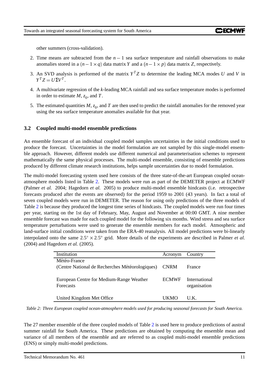other summers (cross-validation).

- 2. Time means are subtracted from the  $n-1$  sea surface temperature and rainfall observations to make anomalies stored in a  $(n - 1 \times q)$  data matrix *Y* and a  $(n - 1 \times p)$  data matrix *Z*, respectively.
- 3. An SVD analysis is performed of the matrix  $Y^T Z$  to determine the leading MCA modes *U* and *V* in  $Y^T Z = U \Sigma V^T$ .
- 4. A multivariate regression of the *k*-leading MCA rainfall and sea surface temperature modes is performed in order to estimate  $M$ ,  $z_0$ , and  $T$ .
- 5. The estimated quantities  $M$ ,  $z_0$ , and  $T$  are then used to predict the rainfall anomalies for the removed year using the sea surface temperature anomalies available for that year.

### **3.2 Coupled multi-model ensemble predictions**

An ensemble forecast of an individual coupled model samples uncertainties in the initial conditions used to produce the forecast. Uncertainties in the model formulation are not sampled by this single-model ensemble approach. However, different models use different numerical and parameterisation schemes to represent mathematically the same physical processes. The multi-model ensemble, consisting of ensemble predictions produced by different climate research institutions, helps sample uncertainties due to model formulation.

The multi-model forecasting system used here consists of the three state-of-the-art European coupled oceanatmosphere models listed in Table [2.](#page-12-0) These models were run as part of the DEMETER project at ECMWF (Palmer *et al.* 2004; Hagedorn *et al.* 2005) to produce multi-model ensemble hindcasts (i.e. retrospective forecasts produced after the events are observed) for the period 1959 to 2001 (43 years). In fact a total of seven coupled models were run in DEMETER. The reason for using only predictions of the three models of Table [2](#page-12-0) is because they produced the longest time series of hindcasts. The coupled models were run four times per year, starting on the 1st day of February, May, August and November at 00:00 GMT. A nine member ensemble forecast was made for each coupled model for the following six months. Wind stress and sea surface temperature perturbations were used to generate the ensemble members for each model. Atmospheric and land-surface initial conditions were taken from the ERA-40 reanalysis. All model predictions were bi-linearly interpolated onto the same  $2.5^{\circ} \times 2.5^{\circ}$  grid. More details of the experiments are described in Palmer *et al.* (2004) and Hagedorn *et al.* (2005).

| Institution                                     | Acronym      | Country       |
|-------------------------------------------------|--------------|---------------|
| Météo-France                                    |              |               |
| (Centre National de Recherches Météorologiques) | <b>CNRM</b>  | France        |
|                                                 |              |               |
| European Centre for Medium-Range Weather        | <b>ECMWF</b> | International |
| <b>Forecasts</b>                                |              | organisation  |
|                                                 |              |               |
| United Kingdom Met Office                       | UKMO         | U K           |

<span id="page-12-0"></span>*Table 2: Three European coupled ocean-atmosphere models used for producing seasonal forecasts for South America.*

The 27 member ensemble of the three coupled models of Table [2](#page-12-0) is used here to produce predictions of austral summer rainfall for South America. These predictions are obtained by computing the ensemble mean and variance of all members of the ensemble and are referred to as coupled multi-model ensemble predictions (ENS) or simply multi-model predictions.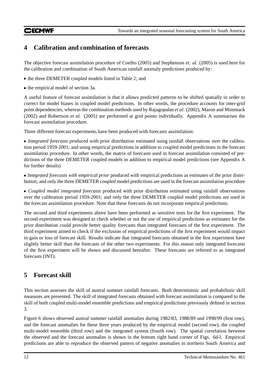## **CCECMWF**

## **4 Calibration and combination of forecasts**

The objective forecast assimilation procedure of Coelho (2005) and Stephenson *et. al.* (2005) is used here for the calibration and combination of South American rainfall anomaly predictions produced by:

- the three DEMETER coupled models listed in Table [2;](#page-12-0) and
- the empirical model of section 3a.

A useful feature of forecast assimilation is that it allows predicted patterns to be shifted spatially in order to correct for model biases in coupled model predictions. In other words, the procedure accounts for inter-grid point dependencies, whereas the combination methods used by Rajagopalan *et al.* (2002), Mason and Mimmack (2002) and Robertson *et al.* (2005) are performed at grid points individually. Appendix A summarises the forecast assimilation procedure.

Three different forecast experiments have been produced with forecasts assimilation:

 *Integrated forecasts* produced with prior distribution estimated using rainfall observations over the calibration period 1959-2001; and using empirical predictions in addition to coupled model predictions in the forecast assimilation procedure. In other words, the matrix of forecasts used in forecast assimilation consisted of predictions of the three DEMETER coupled models in addition to empirical model predictions (see Appendix A for further details)

 *Integrated forecasts with empirical prior* produced with empirical predictions as estimates of the prior distribution; and only the three DEMETER coupled model predictions are used in the forecast assimilation procedure

 *Coupled model integrated forecasts* produced with prior distribution estimated using rainfall observations over the calibration period 1959-2001; and only the three DEMETER coupled model predictions are used in the forecast assimilation procedure. Note that these forecasts do not incorporate empirical predictions.

The second and third experiments above have been performed as sensitive tests for the first experiment. The second experiment was designed to check whether or not the use of empirical predictions as estimates for the prior distribution could provide better quality forecasts than integrated forecasts of the first experiment. The third experiment aimed to check if the exclusion of empirical predictions of the first experiment would impact in gain or loss of forecast skill. Results indicate that integrated forecasts obtained in the first experiment have slightly better skill than the forecasts of the other two experiments. For this reason only integrated forecasts of the first experiment will be shown and discussed hereafter. These forecasts are referred to as integrated forecasts (INT).

# **5 Forecast skill**

This section assesses the skill of austral summer rainfall forecasts. Both deterministic and probabilistic skill measures are presented. The skill of integrated forecasts obtained with forecast assimilation is compared to the skill of both coupled multi-model ensemble predictions and empirical predictions previously defined in section 3.

Figure 6 shows observed austral summer rainfall anomalies during 1982/83, 1988/89 and 1998/99 (first row), and the forecast anomalies for these three years produced by the empirical model (second row), the coupled multi-model ensemble (third row) and the integrated system (fourth row). The spatial correlation between the observed and the forecast anomalies is shown in the bottom right hand corner of Figs. 6d-l. Empirical predictions are able to reproduce the observed pattern of negative anomalies in northern South America and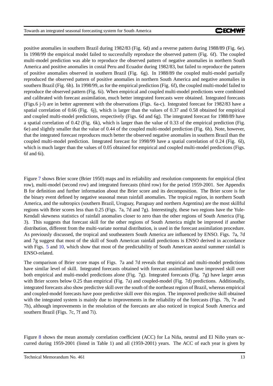positive anomalies in southern Brazil during 1982/83 (Fig. 6d) and a reverse pattern during 1988/89 (Fig. 6e). In 1998/99 the empirical model failed to successfully reproduce the observed pattern (Fig. 6f). The coupled multi-model prediction was able to reproduce the observed pattern of negative anomalies in northern South America and positive anomalies in costal Peru and Ecuador during 1982/83, but failed to reproduce the pattern of positive anomalies observed in southern Brazil (Fig. 6g). In 1988/89 the coupled multi-model partially reproduced the observed pattern of positive anomalies in northern South America and negative anomalies in southern Brazil (Fig. 6h). In 1998/99, as for the empirical prediction (Fig. 6f), the coupled multi-model failed to reproduce the observed pattern (Fig. 6i). When empirical and coupled multi-model predictions were combined and calibrated with forecast assimilation, much better integrated forecasts were obtained. Integrated forecasts (Figs.6 j-l) are in better agreement with the observations (Figs. 6a-c). Integrated forecast for 1982/83 have a spatial correlation of 0.66 (Fig. 6j), which is larger than the values of 0.37 and 0.58 obtained for empirical and coupled multi-model predictions, respectively (Figs. 6d and 6g). The integrated forecast for 1988/89 have a spatial correlation of 0.42 (Fig. 6k), which is larger than the value of 0.33 of the empirical prediction (Fig. 6e) and slightly smaller that the value of 0.44 of the coupled multi-model prediction (Fig. 6h). Note, however, that the integrated forecast reproduces much better the observed negative anomalies in southern Brazil than the coupled multi-model prediction. Integrated forecast for 1998/99 have a spatial correlation of 0.24 (Fig. 6l), which is much larger than the values of 0.05 obtained for empirical and coupled multi-model predictions (Figs. 6f and 6i).

Figure [7](#page-16-0) shows Brier score (Brier 1950) maps and its reliability and resolution components for empirical (first row), multi-model (second row) and integrated forecasts (third row) for the period 1959-2001. See Appendix B for definition and further information about the Brier score and its decomposition. The Brier score is for the binary event defined by negative seasonal mean rainfall anomalies. The tropical region, in northern South America, and the subtropics (southern Brazil, Uruguay, Paraguay and northern Argentina) are the most skillful regions with Brier scores less than 0.25 (Figs. 7a, 7d and 7g). Interestingly, these two regions have the Yule-Kendall skewness statistics of rainfall anomalies closer to zero than the other regions of South America (Fig. 3). This suggests that forecast skill for the other regions of South America might be improved if another distribution, different from the multi-variate normal distribution, is used in the forecast assimilation procedure. As previously discussed, the tropical and southeastern South America are influenced by ENSO. Figs. 7a, 7d and 7g suggest that most of the skill of South American rainfall predictions is ENSO derived in accordance with Figs. [5](#page-11-0) and [10,](#page-22-0) which show that most of the predictability of South American austral summer rainfall is ENSO-related.

The comparison of Brier score maps of Figs. 7a and 7d reveals that empirical and multi-model predictions have similar level of skill. Integrated forecasts obtained with forecast assimilation have improved skill over both empirical and multi-model predictions alone (Fig. 7g). Integrated forecasts (Fig. 7g) have larger areas with Brier scores below 0.25 than empirical (Fig. 7a) and coupled-model (Fig. 7d) predictions. Additionally, integrated forecasts also show predictive skill over the south of the northeast region of Brazil, whereas empirical and coupled-model forecasts have poor predictive skill over this region. The improved predictive skill obtained with the integrated system is mainly due to improvements in the reliability of the forecasts (Figs. 7b, 7e and 7h), although improvements in the resolution of the forecasts are also noticed in tropical South America and southern Brazil (Figs. 7c, 7f and 7i).

Figure [8](#page-17-0) shows the mean anomaly correlation coefficient (ACC) for La Niña, neutral and El Niño years occurred during 1959-2001 (listed in Table 1) and all (1959-2001) years. The ACC of each year is given by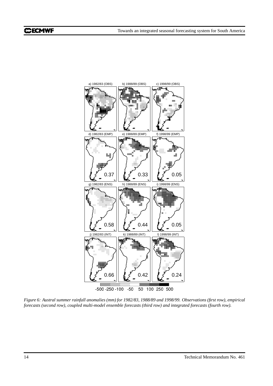

Figure 6: Austral summer rainfall anomalies (mm) for 1982/83, 1988/89 and 1998/99. Observations (first row), empirical *forecasts (second row), coupled multi-model ensemble forecasts (third row) and integrated forecasts (fourth row).*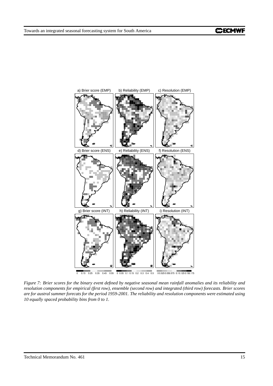

<span id="page-16-0"></span>Figure 7: Brier scores for the binary event defined by negative seasonal mean rainfall anomalies and its reliability and resolution components for empirical (first row), ensemble (second row) and integrated (third row) forecasts. Brier scores are for austral summer forecats for the period 1959-2001. The reliability and resolution components were estimated using *10 equally spaced probability bins from 0 to 1.*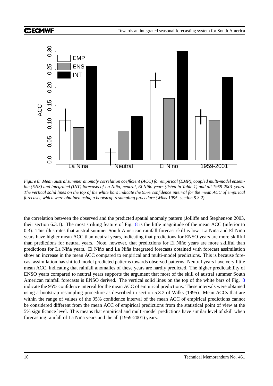

<span id="page-17-0"></span>*Figure 8: Mean austral summer anomaly correlation coefficient (ACC) for empirical (EMP), coupled multi-model ensem*ble (ENS) and integrated (INT) forecasts of La Niña, neutral, El Niño years (listed in Table 1) and all 1959-2001 years. The vertical solid lines on the top of the white bars indicate the 95% confidence interval for the mean ACC of empirical *forecasts, which were obtained using a bootstrap resampling procedure (Wilks 1995, section 5.3.2).*

the correlation between the observed and the predicted spatial anomaly pattern (Jolliffe and Stephenson 2003, their section 6.3.1). The most striking feature of Fig. [8](#page-17-0) is the little magnitude of the mean ACC (inferior to 0.3). This illustrates that austral summer South American rainfall forecast skill is low. La Niña and El Niño years have higher mean ACC than neutral years, indicating that predictions for ENSO years are more skillful than predictions for neutral years. Note, however, that predictions for El Niño years are more skillful than predictions for La Niña years. El Niño and La Niña integrated forecasts obtained with forecast assimilation show an increase in the mean ACC compared to empirical and multi-model predictions. This is because forecast assimilation has shifted model predicted patterns towards observed patterns. Neutral years have very little mean ACC, indicating that rainfall anomalies of these years are hardly predicted. The higher predictability of ENSO years compared to neutral years supports the argument that most of the skill of austral summer South American rainfall forecasts is ENSO derived. The vertical solid lines on the top of the white bars of Fig. [8](#page-17-0) indicate the 95% confidence interval for the mean ACC of empirical predictions. These intervals were obtained using a bootstrap resampling procedure as described in section 5.3.2 of Wilks (1995). Mean ACCs that are within the range of values of the 95% confidence interval of the mean ACC of empirical predictions cannot be considered different from the mean ACC of empirical predictions from the statistical point of view at the 5% significance level. This means that empirical and multi-model predictions have similar level of skill when forecasting rainfall of La Niña years and the all (1959-2001) years.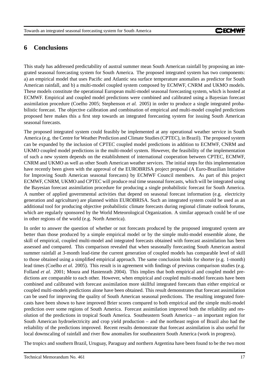## **6 Conclusions**

This study has addressed predictability of austral summer mean South American rainfall by proposing an integrated seasonal forecasting system for South America. The proposed integrated system has two components: a) an empirical model that uses Pacific and Atlantic sea surface temperature anomalies as predictor for South American rainfall, and b) a multi-model coupled system composed by ECMWF, CNRM and UKMO models. These models constitute the operational European multi-model seasonal forecasting system, which is hosted at ECMWF. Empirical and coupled model predictions were combined and calibrated using a Bayesian forecast assimilation procedure (Coelho 2005; Stephenson *et al.* 2005) in order to produce a single integrated probabilistic forecast. The objective calibration and combination of empirical and multi-model coupled predictions proposed here makes this a first step towards an integrated forecasting system for issuing South American seasonal forecasts.

The proposed integrated system could feasibly be implemented at any operational weather service in South America (e.g. the Centre for Weather Prediction and Climate Studies(CPTEC), in Brazil). The proposed system can be expanded by the inclusion of CPTEC coupled model predictions in addition to ECMWF, CNRM and UKMO coupled model predictions in the multi-model system. However, the feasibility of the implementation of such a new system depends on the establishment of international cooperation between CPTEC, ECMWF, CNRM and UKMO as well as other South American weather services. The initial steps for this implementation have recently been given with the approval of the EUROBRISA project proposal (A Euro-Brazilian Initiative for Improving South American seasonal forecasts) by ECMWF Council members. As part of this project ECMWF, CNRM, UKMO and CPTEC will produce real time seasonal forecasts, which will be integrated using the Bayesian forecast assimilation procedure for producing a single probabilistic forecast for South America. A number of applied governmental activities that depend on seasonal forecast information (e.g. electricity generation and agriculture) are planned within EUROBRISA. Such an integrated system could be used as an additional tool for producing objective probabilistic climate forecasts during regional climate outlook forums, which are regularly sponsored by the World Meteorological Organization. A similar approach could be of use in other regions of the world (e.g. North America).

In order to answer the question of whether or not forecasts produced by the proposed integrated system are better than those produced by a simple empirical model or by the simple multi-model ensemble alone, the skill of empirical, coupled multi-model and integrated forecasts obtained with forecast assimilation has been assessed and compared. This comparison revealed that when seasonally forecasting South American austral summer rainfall at 3-month lead-time the current generation of coupled models has comparable level of skill to those obtained using a simplified empirical approach. The same conclusion holds for shorter (e.g. 1-month) lead times (Coelho *et al.* 2005). This result is in agreement with findings of previous comparison studies (e.g. Folland *et al.* 2001; Moura and Hastenrath 2004). This implies that both empirical and coupled model predictions are comparable to each other. However, when empirical and coupled multi-model forecasts have been combined and calibrated with forecast assimilation more skillful integrated forecasts than either empirical or coupled multi-models predictions alone have been obtained. This result demonstrates that forecast assimilation can be used for improving the quality of South American seasonal predictions. The resulting integrated forecasts have been shown to have improved Brier scores compared to both empirical and the simple multi-model prediction over some regions of South America. Forecast assimilation improved both the reliability and resolution of the predictions in tropical South America. Southeastern South America – an important region for South American hydroelectricity and crop yield production – and the northeast region of Brazil also had the reliability of the predictions improved. Recent results demonstrate that forecast assimilation is also useful for local downscaling of rainfall and river flow anomalies for southeastern South America (work in progress).

The tropics and southern Brazil, Uruguay, Paraguay and northern Argentina have been found to be the two most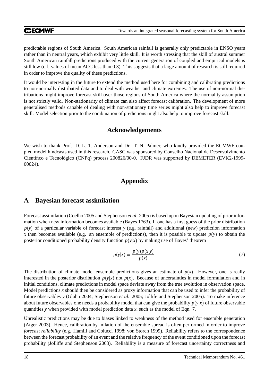#### **CCECMWF**

predictable regions of South America. South American rainfall is generally only predictable in ENSO years rather than in neutral years, which exhibit very little skill. It is worth stressing that the skill of austral summer South American rainfall predictions produced with the current generation of coupled and empirical models is still low (c.f. values of mean ACC less than 0.3). This suggests that a large amount of research is still required in order to improve the quality of these predictions.

It would be interesting in the future to extend the method used here for combining and calibrating predictions to non-normally distributed data and to deal with weather and climate extremes. The use of non-normal distributions might improve forecast skill over those regions of South America where the normality assumption is not strictly valid. Non-stationarity of climate can also affect forecast calibration. The development of more generalised methods capable of dealing with non-stationary time series might also help to improve forecast skill. Model selection prior to the combination of predictions might also help to improve forecast skill.

## **Acknowledgements**

We wish to thank Prof. D. L. T. Anderson and Dr. T. N. Palmer, who kindly provided the ECMWF coupled model hindcasts used in this research. CASC was sponsored by Conselho Nacional de Desenvolvimento Científico e Tecnológico (CNPq) process 200826/00-0. FJDR was supported by DEMETER (EVK2-1999-00024).

## **Appendix**

## **A Bayesian forecast assimilation**

Forecast assimilation (Coelho 2005 and Stephenson *et al.* 2005) is based upon Bayesian updating of prior information when new information becomes available (Bayes 1763). If one has a first guess of the prior distribution  $p(y)$  of a particular variable of forecast interest *y* (e.g. rainfall) and additional (new) prediction information *x* then becomes available (e.g. an ensemble of predictions), then it is possible to update  $p(y)$  to obtain the posterior conditioned probability density function  $p(y|x)$  by making use of Bayes' theorem

$$
p(y|x) = \frac{p(y)p(x|y)}{p(x)}.
$$
 (7)

The distribution of climate model ensemble predictions gives an estimate of  $p(x)$ . However, one is really interested in the posterior distribution  $p(y|x)$  not  $p(x)$ . Because of uncertainties in model formulation and in initial conditions, climate predictions in model space deviate away from the true evolution in observation space. Model predictions *x* should then be considered as proxy information that can be used to infer the probability of future observables *y* (Glahn 2004; Stephenson *et al.* 2005; Jollife and Stephenson 2005). To make inference about future observables one needs a probability model that can give the probability  $p(y|x)$  of future observable quantities *y* when provided with model prediction data *x*, such as the model of Eqn. 7.

Unrealistic predictions may be due to biases linked to weakness of the method used for ensemble generation (Atger 2003). Hence, calibration by inflation of the ensemble spread is often performed in order to improve *forecast reliability* (e.g. Hamill and Colucci 1998; von Storch 1999). Reliability refers to the correspondence between the forecast probability of an event and the relative frequency of the event conditioned upon the forecast probability (Jolliffe and Stephenson 2003). Reliability is a measure of forecast uncertainty correctness and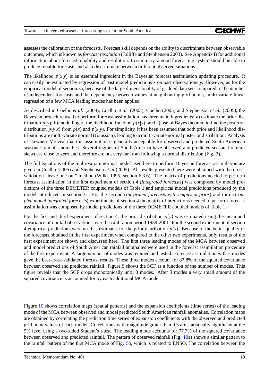assessesthe calibration of the forecasts. Forecastskill depends on the ability to discriminate between observable outcomes, which is known as *forecast resolution* (Jolliffe and Stephenson 2003). See Appendix B for additional information about forecast reliability and resolution. In summary, a good forecasting system should be able to produce reliable forecasts and also discriminate between different observed situations.

The likelihood  $p(x|y)$  is an essential ingredient in the Bayesian forecast assimilation updating procedure. It can easily be estimated by regression of past model predictions *x* on past observations *y*. However, as for the empirical model of section 3a, because of the large dimensionality of gridded data sets compared to the number of independent forecasts and the dependency between values at neighbouring grid points, multi-variate linear regression of a few MCA leading modes has been applied.

As described in Coelho *et al.* (2004), Coelho *et al.* (2003), Coelho (2005) and Stephenson *et al.* (2005), the Bayesian procedure used to perform forecast assimilation has three main ingredients: a) estimate the prior distribution  $p(y)$ ; b) modelling of the likelihood function  $p(x|y)$ ; and c) use of Bayes theorem to find the posterior distribution  $p(y|x)$  from  $p(x)$  and  $p(x|y)$ . For simplicity, it has been assumed that both prior and likelihood distributions are multi-variate normal (Gaussian), leading to a multi-variate normal posterior distribution. Analysis of skewness γ reveal that this assumption is generally acceptable for observed and predicted South American seasonal rainfall anomalies. Several regions of South America have observed and predicted seasonal rainfall skewness close to zero and therefore are not very far from following a normal distribution (Fig. 3).

The full equations of the multi-variate normal model used here to perform Bayesian forecast assimilation are given in Coelho (2005) and Stephenson *et al* (2005). All results presented here were obtained with the crossvalidation "leave one out" method (Wilks 1995, section 6.3.6). The matrix of predictions needed to perform forecast assimilation in the first experiment of section 4 (*Integrated forecasts*) was composed by model predictions of the three DEMETER coupled models of Table 1 and empirical model predictions produced by the model introduced in section 3a. For the second (*Integrated forecasts with empirical prior*) and third (*Coupled model integrated forecasts*) experiments of section 4 the matrix of predictions needed to perform forecast assimilation was composed by model predictions of the three DEMETER coupled models of Table 1.

For the first and third experiment of section 4, the prior distribution  $p(y)$  was estimated using the mean and covariance of rainfall observations over the calibration period 1959-2001. For the second experiment of section 4 empirical predictions were used as estimates for the prior distribution  $p(y)$ . Because of the better quality of the forecasts obtained in the first experiment when compared to the other two experiments, only results of the first experiment are shown and discussed here. The first three leading modes of the MCA between observed and model predictions of South American rainfall anomalies were used in the forecast assimilation procedure of the first experiment. A large number of modes was retained and tested. Forecast assimilation with 3 modes gave the best cross-validated forecast results. These three modes account for 87.8% of the squared covariance between observed and predicted rainfall. Figure 9 shows the SCF as a function of the number of modes. This figure reveals that the SCF drops monotonically until 3 modes. After 3 modes a very small amount of the squared covariance is accounted for by each additional MCA mode.

Figure [10](#page-22-0) shows correlation maps (spatial patterns) and the expansion coefficients (time series) of the leading mode of the MCA between observed and model predicted South American rainfall anomalies. Correlation maps are obtained by correlating the prediction time series of expansion coefficients with the observed and predicted grid point values of each model. Correlations with magnitude grater than 0.3 are statistically significant at the 5% level using a two-sided Student's t-test. The leading mode accounts for 77.7% of the squared covariance between observed and predicted rainfall. The pattern of observed rainfall (Fig. [10a](#page-22-0)) shows a similar pattern to the rainfall pattern of the first MCA mode of Fig. [5b](#page-11-0), which is related to ENSO. The correlation between the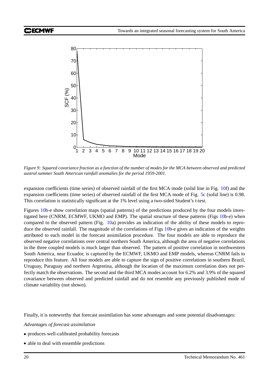

Figure 9: Squared covariance fraction as a function of the number of modes for the MCA between observed and predicted *austral summer South American rainfall anomalies for the period 1959-2001.*

expansion coefficients (time series) of observed rainfall of the first MCA mode (solid line in Fig. [10f](#page-22-0)) and the expansion coefficients (time series) of observed rainfall of the first MCA mode of Fig. [5c](#page-11-0) (solid line) is 0.98. This correlation is statistically significant at the 1% level using a two-sided Student's t-test.

Figures [10b](#page-22-0)-e show correlation maps (spatial patterns) of the predictions produced by the four models investigated here (CNRM, ECMWF, UKMO and EMP). The spatial structure of these patterns (Figs [10b](#page-22-0)-e) when compared to the observed pattern (Fig. [10a](#page-22-0)) provides an indication of the ability of these models to reproduce the observed rainfall. The magnitude of the correlations of Figs [10b](#page-22-0)-e gives an indication of the weights attributed to each model in the forecast assimilation procedure. The four models are able to reproduce the observed negative correlations over central northern South America, although the area of negative correlations in the three coupled models is much larger than observed. The pattern of positive correlation in northwestern South America, near Ecuador, is captured by the ECMWF, UKMO and EMP models, whereas CNRM fails to reproduce this feature. All four models are able to capture the sign of positive correlations in southern Brazil, Uruguay, Paraguay and northern Argentina, although the location of the maximum correlation does not perfectly match the observations. The second and the third MCA modes account for 6.2% and 3.9% of the squared covariance between observed and predicted rainfall and do not resemble any previously published mode of climate variability (not shown).

Finally, it is noteworthy that forecast assimilation has some advantages and some potential disadvantages:

*Advantages of forecast assimilation*

- produces well-calibrated probability forecasts
- able to deal with ensemble predictions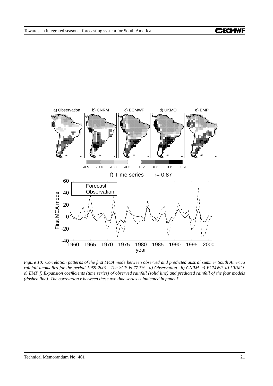

<span id="page-22-0"></span>Figure 10: Correlation patterns of the first MCA mode between observed and predicted austral summer South America rainfall anomalies for the period 1959-2001. The SCF is 77.7%. a) Observation. b) CNRM. c) ECMWF. d) UKMO. e) EMP f) Expansion coefficients (time series) of observed rainfall (solid line) and predicted rainfall of the four models *(dashed line). The correlation r between these two time series is indicated in panel f.*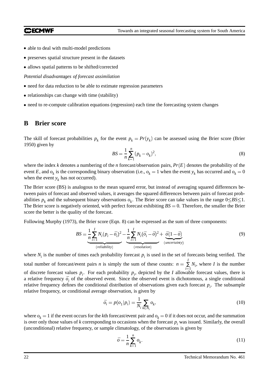#### **CCMWF**

- able to deal with multi-model predictions
- preserves spatial structure present in the datasets
- allows spatial patterns to be shifted/corrected

*Potential disadvantages of forecast assimilation*

- need for data reduction to be able to estimate regression parameters
- relationships can change with time (stability)
- need to re-compute calibration equations (regression) each time the forecasting system changes

## **B Brier score**

The skill of forecast probabilities  $p_k$  for the event  $p_k = Pr(y_k)$  can be assessed using the Brier score (Brier 1950) given by

$$
BS = \frac{1}{n} \sum_{k=1}^{n} (p_k - o_k)^2,
$$
\n(8)

where the index  $k$  denotes a numbering of the  $n$  forecast/observation pairs,  $Pr(E)$  denotes the probability of the event *E*, and  $o_k$  is the corresponding binary observation (i.e.,  $o_k = 1$  when the event  $y_k$  has occurred and  $o_k = 0$ when the event  $y_k$  has not occurred).

The Brier score (BS) is analogous to the mean squared error, but instead of averaging squared differences between pairs of forecast and observed values, it averages the squared differences between pairs of forecast probabilities  $p_k$  and the subsequent binary observations  $o_k$ . The Brier score can take values in the range  $0 \leq BS \leq 1$ . The Brier score is negatively oriented, with perfect forecast exhibiting  $BS = 0$ . Therefore, the smaller the Brier score the better is the quality of the forecast.

Following Murphy (1973), the Brier score (Eqn. 8) can be expressed as the sum of three components:

$$
BS = \underbrace{\frac{1}{n} \sum_{i=1}^{I} N_i (p_i - \bar{o}_i)^2}_{\text{(reliability)}} - \underbrace{\frac{1}{n} \sum_{i=1}^{I} N_i (\bar{o}_i - \bar{o})^2}_{\text{(resolution)}} + \underbrace{\bar{o}(1 - \bar{o})}_{\text{(uncertainty)}} \tag{9}
$$

where  $N_i$  is the number of times each probability forecast  $p_i$  is used in the set of forecasts being verified. The total number of forecast/event pairs *n* is simply the sum of these counts:  $n = \sum N_i$ , where *I*  $\sum_{i=1}^{n} N_i$ , where *I* is the number of discrete forecast values  $p_i$ . For each probability  $p_i$ , depicted by the *I* allowable forecast values, there is a relative frequency  $\bar{o}_i$  of the observed event. Since the observed event is dichotomous, a single conditional relative frequency defines the conditional distribution of observations given each forecast *p<sup>i</sup>* . The subsample relative frequency, or conditional average observation, is given by

$$
\bar{o}_i = p(o_1|p_i) = \frac{1}{N_i} \sum_{k \in N_i} o_k,\tag{10}
$$

where  $o_k = 1$  if the event occurs for the *k*th forecast/event pair and  $o_k = 0$  if it does not occur, and the summation is over only those values of  $k$  corresponding to occasions when the forecast  $p_i$  was issued. Similarly, the overall (unconditional) relative frequency, or sample climatology, of the observations is given by

$$
\bar{o} = \frac{1}{n} \sum_{k=1}^{n} o_k. \tag{11}
$$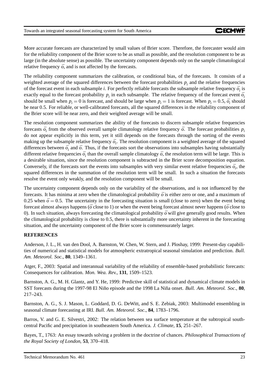More accurate forecasts are characterized by small values of Brier score. Therefore, the forecaster would aim for the reliability component of the Brier score to be as small as possible, and the resolution component to be as large (in the absolute sense) as possible. The uncertainty component depends only on the sample climatological relative frequency  $\bar{o}$ , and is not affected by the forecasts.

The reliability component summarizes the calibration, or conditional bias, of the forecasts. It consists of a weighted average of the squared differences between the forecast probabilities  $p_i$  and the relative frequencies of the forecast event in each subsample *i*. For perfectly reliable forecasts the subsample relative frequency  $\bar{o}_i$  is exactly equal to the forecast probability  $p_i$  in each subsample. The relative frequency of the forecast event  $\bar{o}_i$ should be small when  $p_i = 0$  is forecast, and should be large when  $p_i = 1$  is forecast. When  $p_i = 0.5$ ,  $\bar{o}_i$  should be near 0.5. For reliable, or well-calibrated forecasts, all the squared differences in the reliability component of the Brier score will be near zero, and their weighted average will be small.

The resolution component summarizes the ability of the forecasts to discern subsample relative frequencies forecasts  $\bar{o}_i$  from the observed overall sample climatology relative frequency  $\bar{o}$ . The forecast probabilities  $p_i$ do not appear explicitly in this term, yet it still depends on the forecasts through the sorting of the events making up the subsample relative frequency  $\bar{o}_i$ . The resolution component is a weighted average of the squared differences between  $\bar{o}_i$  and  $\bar{o}$ . Thus, if the forecasts sort the observations into subsamples having substantially different relative frequencies  $\bar{o}_i$  than the overall sample climatology  $\bar{o}$ , the resolution term will be large. This is a desirable situation, since the resolution component is subtracted in the Brier score decomposition equation. Conversely, if the forecasts sort the events into subsamples with very similar event relative frequencies  $\bar{o}_i$ , the squared differences in the summation of the resolution term will be small. In such a situation the forecasts resolve the event only weakly, and the resolution component will be small.

The uncertainty component depends only on the variability of the observations, and is not influenced by the forecasts. It has minima at zero when the climatological probability  $\bar{o}$  is either zero or one, and a maximum of 0.25 when  $\bar{\sigma} = 0.5$ . The uncertainty in the forecasting situation is small (close to zero) when the event being forecast almost always happens ( $\bar{o}$  close to 1) or when the event being forecast almost never happens ( $\bar{o}$  close to 0). In such situation, always forecasting the climatological probability  $\bar{\sigma}$  will give generally good results. When the climatological probability is close to 0.5, there is substantially more uncertainty inherent in the forecasting situation, and the uncertainty component of the Brier score is commensurately larger.

#### **REFERENCES**

Anderson, J. L., H. van den Dool, A. Barnston, W. Chen, W. Stern, and J. Ploshay, 1999: Present-day capabilities of numerical and statistical models for atmospheric extratropical seasonal simulation and prediction. *Bull. Am. Meteorol. Soc.*, **80**, 1349–1361.

Atger, F., 2003: Spatial and interannual variability of the reliability of ensemble-based probabilistic forecasts: Consequences for calibration. *Mon. Wea. Rev.*, **131**, 1509–1523.

Barnston, A. G., M. H. Glantz, and Y. He, 1999: Predictive skill of statistical and dynamical climate models in SST forecasts during the 1997-98 El Nino˜ episode and the 1998 La Nina˜ onset. *Bull. Am. Meteorol. Soc.*, **80**, 217–243.

Barnston, A. G., S. J. Mason, L. Goddard, D. G. DeWitt, and S. E. Zebiak, 2003: Multimodel ensembling in seasonal climate forecasting at IRI. *Bull. Am. Meteorol. Soc.*, **84**, 1783–1796.

Barros, V. and G. E. Silvestri, 2002: The relation between sea surface temperature at the subtropical southcentral Pacific and precipitation in southeastern South America. *J. Climate*, **15**, 251–267.

Bayes, T., 1763: An essay towards solving a problem in the doctrine of chances. *Philosophical Transactions of the Royal Society of London*, **53**, 370–418.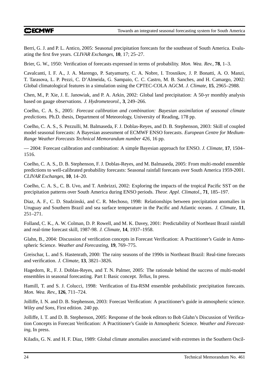### **CCECMWF**

Berri, G. J. and P. L. Antico, 2005: Seasonal precipitation forecasts for the southeast of South America. Evaluating the first five years. *CLIVAR Exchanges*, **10**, 17; 25–27.

Brier, G. W., 1950: Verification of forecasts expressed in terms of probability. *Mon. Wea. Rev.*, **78**, 1–3.

Cavalcanti, I. F. A., J. A. Marengo, P. Satyamurty, C. A. Nobre, I. Trosnikov, J. P. Bonatti, A. O. Manzi, T. Tarasova, L. P. Pezzi, C. D'Almeida, G. Sampaio, C. C. Castro, M. B. Sanches, and H. Camargo, 2002: Global climatological features in a simulation using the CPTEC-COLA AGCM. *J. Climate*, **15**, 2965–2988.

Chen, M., P. Xie, J. E. Janowiak, and P. A. Arkin, 2002: Global land precipitation: A 50-yr monthly analysis based on gauge observations. *J. Hydrometeorol.*, **3**, 249–266.

Coelho, C. A. S., 2005: *Forecast calibration and combination: Bayesian assimilation of seasonal climate predictions*. Ph.D. thesis, Department of Meteorology, University of Reading, 178 pp.

Coelho, C. A. S., S. Pezzulli, M. Balmaseda, F. J. Doblas-Reyes, and D. B. Stephenson, 2003: Skill of coupled model seasonal forecasts: A Bayesian assessment of ECMWF ENSO forecasts. *European Centre for Medium-Range Weather Forecasts Technical Memorandum number 426*, 16 pp.

— 2004: Forecast calibration and combination: A simple Bayesian approach for ENSO. *J. Climate*, **17**, 1504– 1516.

Coelho, C. A. S., D. B. Stephenson, F. J. Doblas-Reyes, and M. Balmaseda, 2005: From multi-model ensemble predictions to well-calibrated probability forecasts: Seasonal rainfall forecasts over South America 1959-2001. *CLIVAR Exchanges*, **10**, 14–20.

Coelho, C. A. S., C. B. Uvo, and T. Ambrizzi, 2002: Exploring the impacts of the tropical Pacific SST on the precipitation patterns over South America during ENSO periods. *Theor. Appl. Climatol.*, **71**, 185–197.

Diaz, A. F., C. D. Studzinski, and C. R. Mechoso, 1998: Relationships between precipitation anomalies in Uruguay and Southern Brazil and sea surface temperature in the Pacific and Atlantic oceans. *J. Climate*, **11**, 251–271.

Folland, C. K., A. W. Colman, D. P. Rowell, and M. K. Davey, 2001: Predictability of Northeast Brazil rainfall and real-time forecast skill, 1987-98. *J. Climate*, **14**, 1937–1958.

Glahn, B., 2004: Discussion of verification concepts in Forecast Verification: A Practitioner's Guide in Atmospheric Science. *Weather and Forecasting*, **19**, 769–775.

Greischar, L. and S. Hastenrath, 2000: The rainy seasons of the 1990s in Northeast Brazil: Real-time forecasts and verification. *J. Climate*, **13**, 3821–3826.

Hagedorn, R., F. J. Doblas-Reyes, and T. N. Palmer, 2005: The rationale behind the success of multi-model ensembles in seasonal forecasting. Part I: Basic concept. *Tellus*, In press.

Hamill, T. and S. J. Colucci, 1998: Verification of Eta-RSM ensemble probabilistic precipitation forecasts. *Mon. Wea. Rev.*, **126**, 711–724.

Jolliffe, I. N. and D. B. Stephenson, 2003: Forecast Verification: A practitioner's guide in atmospheric science. *Wiley and Sons*, First edition. 240 pp.

Jolliffe, I. T. and D. B. Stephenson, 2005: Response of the book editors to Bob Glahn's Discussion of Verification Concepts in Forecast Verification: A Practitioner's Guide in Atmospheric Science. *Weather and Forecasting*, In press.

Kiladis, G. N. and H. F. Diaz, 1989: Global climate anomalies associated with extremes in the Southern Oscil-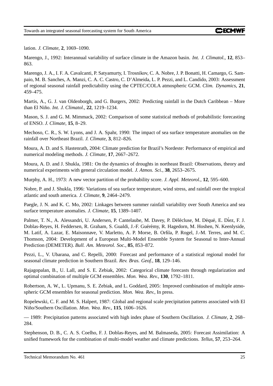lation. *J. Climate*, **2**, 1069–1090.

Marengo, J., 1992: Interannual variability of surface climate in the Amazon basin. *Int. J. Climatol.*, **12**, 853– 863.

Marengo, J. A., I. F. A. Cavalcanti, P. Satyamurty, I. Trosnikov, C. A. Nobre, J. P. Bonatti, H. Camargo, G. Sampaio, M. B. Sanches, A. Manzi, C. A. C. Castro, C. D'Almeida, L. P. Pezzi, and L. Candido, 2003: Assessment of regional seasonal rainfall predictability using the CPTEC/COLA atmospheric GCM. *Clim. Dynamics*, **21**, 459–475.

Martis, A., G. J. van Oldenborgh, and G. Burgers, 2002: Predicting rainfall in the Dutch Caribbean – More than El Nino. ˜ *Int. J. Climatol.*, **22**, 1219–1234.

Mason, S. J. and G. M. Mimmack, 2002: Comparison of some statistical methods of probabilistic forecasting of ENSO. *J. Climate*, **15**, 8–29.

Mechoso, C. R., S. W. Lyons, and J. A. Spahr, 1990: The impact of sea surface temperature anomalies on the rainfall over Northeast Brazil. *J. Climate*, **3**, 812–826.

Moura, A. D. and S. Hastenrath, 2004: Climate prediction for Brazil's Nordeste: Performance of empirical and numerical modeling methods. *J. Climate*, **17**, 2667–2672.

Moura, A. D. and J. Shukla, 1981: On the dynamics of droughts in northeast Brazil: Observations, theory and numerical experiments with general circulation model. *J. Atmos. Sci.*, **38**, 2653–2675.

Murphy, A. H., 1973: A new vector partition of the probability score. *J. Appl. Meteorol.*, **12**, 595–600.

Nobre, P. and J. Shukla, 1996: Variations of sea surface temperature, wind stress, and rainfall over the tropical atlantic and south america. *J. Climate*, **9**, 2464–2479.

Paegle, J. N. and K. C. Mo, 2002: Linkages between summer rainfall variability over South America and sea surface temperature anomalies. *J. Climate*, **15**, 1389–1407.

Palmer, T. N., A. Alessandri, U. Andersen, P. Cantelaube, M. Davey, P. Délécluse, M. Déqué, E. Díez, F. J. Doblas-Reyes, H. Feddersen, R. Graham, S. Gualdi, J.-F. Guérémy, R. Hagedorn, M. Hoshen, N. Keenlyside, M. Latif, A. Lazar, E. Maisonnave, V. Marletto, A. P. Morse, B. Orfila, P. Rogel, J.-M. Terres, and M. C. Thomson, 2004: Development of a European Multi-Model Ensemble System for Seasonal to Inter-Annual Prediction (DEMETER). *Bull. Am. Meteorol. Soc.*, **85**, 853–872.

Pezzi, L., V. Ubarana, and C. Repelli, 2000: Forecast and performance of a statistical regional model for seasonal climate prediction in Southern Brazil. *Rev. Bras. Geof.*, **18**, 129–146.

Rajagopalan, B., U. Lall, and S. E. Zebiak, 2002: Categorical climate forecasts through regularization and optimal combination of multiple GCM ensembles. *Mon. Wea. Rev.*, **130**, 1792–1811.

Robertson, A. W., L. Upmanu, S. E. Zebiak, and L. Goddard, 2005: Improved combination of multiple atmospheric GCM ensembles for seasonal prediction. *Mon. Wea. Rev.*, In press.

Ropelewski, C. F. and M. S. Halpert, 1987: Global and regional scale precipitation patterns associated with El Nino/Southern ˜ Oscillation. *Mon. Wea. Rev.*, **115**, 1606–1626.

— 1989: Precipitation patterns associated with high index phase of Southern Oscillation. *J. Climate*, **2**, 268– 284.

Stephenson, D. B., C. A. S. Coelho, F. J. Doblas-Reyes, and M. Balmaseda, 2005: Forecast Assimilation: A unified framework for the combination of multi-model weather and climate predictions. *Tellus*, **57**, 253–264.